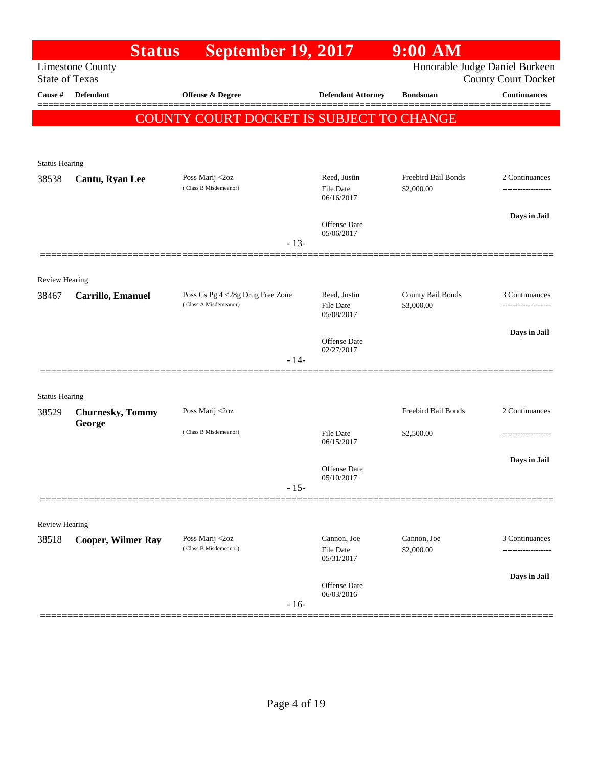|                                  | <b>Status</b>                      | <b>September 19, 2017</b>                |                                   | 9:00 AM                           |                                            |
|----------------------------------|------------------------------------|------------------------------------------|-----------------------------------|-----------------------------------|--------------------------------------------|
|                                  | <b>Limestone County</b>            |                                          |                                   | Honorable Judge Daniel Burkeen    |                                            |
| <b>State of Texas</b><br>Cause # | <b>Defendant</b>                   | <b>Offense &amp; Degree</b>              | <b>Defendant Attorney</b>         | <b>Bondsman</b>                   | County Court Docket<br><b>Continuances</b> |
|                                  |                                    |                                          |                                   |                                   |                                            |
|                                  |                                    | COUNTY COURT DOCKET IS SUBJECT TO CHANGE |                                   |                                   |                                            |
|                                  |                                    |                                          |                                   |                                   |                                            |
| <b>Status Hearing</b>            |                                    |                                          |                                   |                                   |                                            |
| 38538                            | Cantu, Ryan Lee                    | Poss Marij <2oz<br>(Class B Misdemeanor) | Reed, Justin<br><b>File Date</b>  | Freebird Bail Bonds<br>\$2,000.00 | 2 Continuances                             |
|                                  |                                    |                                          | 06/16/2017                        |                                   | .                                          |
|                                  |                                    |                                          | Offense Date                      |                                   | Days in Jail                               |
|                                  |                                    |                                          | 05/06/2017                        |                                   |                                            |
|                                  |                                    | $-13-$                                   |                                   |                                   |                                            |
|                                  |                                    |                                          |                                   |                                   |                                            |
| <b>Review Hearing</b><br>38467   | Carrillo, Emanuel                  | Poss Cs Pg 4 <28g Drug Free Zone         | Reed, Justin                      | County Bail Bonds                 | 3 Continuances                             |
|                                  |                                    | (Class A Misdemeanor)                    | <b>File Date</b><br>05/08/2017    | \$3,000.00                        | ------------------                         |
|                                  |                                    |                                          |                                   |                                   | Days in Jail                               |
|                                  |                                    |                                          | <b>Offense Date</b><br>02/27/2017 |                                   |                                            |
|                                  |                                    | $-14-$                                   |                                   |                                   |                                            |
|                                  |                                    |                                          |                                   |                                   |                                            |
| <b>Status Hearing</b>            |                                    |                                          |                                   |                                   |                                            |
| 38529                            | <b>Churnesky</b> , Tommy<br>George | Poss Marij <2oz                          |                                   | Freebird Bail Bonds               | 2 Continuances                             |
|                                  |                                    | (Class B Misdemeanor)                    | File Date<br>06/15/2017           | \$2,500.00                        |                                            |
|                                  |                                    |                                          |                                   |                                   | Days in Jail                               |
|                                  |                                    |                                          | <b>Offense Date</b><br>05/10/2017 |                                   |                                            |
|                                  |                                    | $-15-$                                   |                                   |                                   |                                            |
|                                  |                                    |                                          |                                   |                                   |                                            |
| <b>Review Hearing</b>            |                                    |                                          |                                   |                                   |                                            |
| 38518                            | <b>Cooper, Wilmer Ray</b>          | Poss Marij <2oz<br>(Class B Misdemeanor) | Cannon, Joe<br><b>File Date</b>   | Cannon, Joe<br>\$2,000.00         | 3 Continuances                             |
|                                  |                                    |                                          | 05/31/2017                        |                                   |                                            |
|                                  |                                    |                                          | <b>Offense Date</b>               |                                   | Days in Jail                               |
|                                  |                                    | $-16-$                                   | 06/03/2016                        |                                   |                                            |
|                                  |                                    |                                          |                                   |                                   |                                            |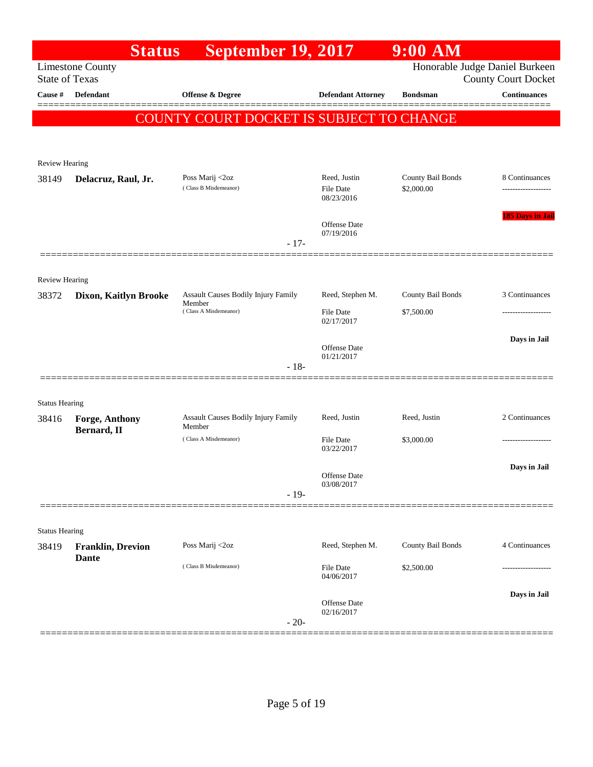|                       | <b>Status</b>                        | <b>September 19, 2017</b>                            |                                   | $9:00$ AM                      |                               |
|-----------------------|--------------------------------------|------------------------------------------------------|-----------------------------------|--------------------------------|-------------------------------|
| <b>State of Texas</b> | <b>Limestone County</b>              |                                                      |                                   | Honorable Judge Daniel Burkeen | <b>County Court Docket</b>    |
| Cause #               | Defendant                            | Offense & Degree                                     | <b>Defendant Attorney</b>         | <b>Bondsman</b>                | <b>Continuances</b><br>====== |
|                       |                                      | COUNTY COURT DOCKET IS SUBJECT TO CHANGE             |                                   |                                |                               |
|                       |                                      |                                                      |                                   |                                |                               |
| <b>Review Hearing</b> |                                      |                                                      |                                   |                                |                               |
| 38149                 | Delacruz, Raul, Jr.                  | Poss Marij <2oz<br>(Class B Misdemeanor)             | Reed, Justin                      | County Bail Bonds              | 8 Continuances                |
|                       |                                      |                                                      | <b>File Date</b><br>08/23/2016    | \$2,000.00                     |                               |
|                       |                                      |                                                      | Offense Date                      |                                | 185 Days in Jail              |
|                       |                                      | $-17-$                                               | 07/19/2016                        |                                |                               |
|                       |                                      |                                                      |                                   |                                |                               |
| Review Hearing        |                                      |                                                      |                                   |                                |                               |
| 38372                 | Dixon, Kaitlyn Brooke                | <b>Assault Causes Bodily Injury Family</b><br>Member | Reed, Stephen M.                  | County Bail Bonds              | 3 Continuances                |
|                       |                                      | (Class A Misdemeanor)                                | File Date<br>02/17/2017           | \$7,500.00                     | -----------------             |
|                       |                                      |                                                      | Offense Date                      |                                | Days in Jail                  |
|                       |                                      | $-18-$                                               | 01/21/2017                        |                                |                               |
|                       |                                      |                                                      |                                   |                                |                               |
| <b>Status Hearing</b> |                                      |                                                      |                                   |                                |                               |
| 38416                 | <b>Forge, Anthony</b><br>Bernard, II | Assault Causes Bodily Injury Family<br>Member        | Reed, Justin                      | Reed, Justin                   | 2 Continuances                |
|                       |                                      | (Class A Misdemeanor)                                | File Date<br>03/22/2017           | \$3,000.00                     | ------------------            |
|                       |                                      |                                                      |                                   |                                | Days in Jail                  |
|                       |                                      |                                                      | Offense Date<br>03/08/2017        |                                |                               |
|                       |                                      | $-19-$                                               |                                   |                                |                               |
| <b>Status Hearing</b> |                                      |                                                      |                                   |                                |                               |
| 38419                 | <b>Franklin, Drevion</b>             | Poss Marij <2oz                                      | Reed, Stephen M.                  | County Bail Bonds              | 4 Continuances                |
|                       | <b>Dante</b>                         | (Class B Misdemeanor)                                | File Date<br>04/06/2017           | \$2,500.00                     |                               |
|                       |                                      |                                                      |                                   |                                | Days in Jail                  |
|                       |                                      |                                                      | <b>Offense Date</b><br>02/16/2017 |                                |                               |
|                       |                                      | $-20-$                                               |                                   |                                |                               |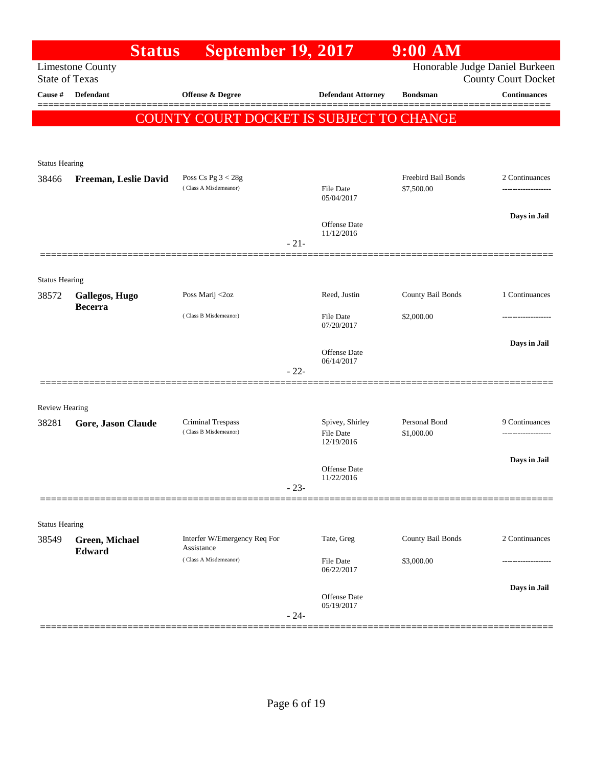|                       | <b>Status</b>                    | <b>September 19, 2017</b>                  |        |                                     | 9:00 AM                     |                                                              |
|-----------------------|----------------------------------|--------------------------------------------|--------|-------------------------------------|-----------------------------|--------------------------------------------------------------|
| <b>State of Texas</b> | <b>Limestone County</b>          |                                            |        |                                     |                             | Honorable Judge Daniel Burkeen<br><b>County Court Docket</b> |
| Cause #               | <b>Defendant</b>                 | Offense & Degree                           |        | <b>Defendant Attorney</b>           | <b>Bondsman</b>             | <b>Continuances</b>                                          |
|                       |                                  | COUNTY COURT DOCKET IS SUBJECT TO CHANGE   |        |                                     |                             |                                                              |
|                       |                                  |                                            |        |                                     |                             |                                                              |
| <b>Status Hearing</b> |                                  |                                            |        |                                     |                             |                                                              |
| 38466                 | Freeman, Leslie David            | Poss Cs Pg $3 < 28g$                       |        |                                     | Freebird Bail Bonds         | 2 Continuances                                               |
|                       |                                  | (Class A Misdemeanor)                      |        | <b>File Date</b><br>05/04/2017      | \$7,500.00                  | .                                                            |
|                       |                                  |                                            |        | Offense Date                        |                             | Days in Jail                                                 |
|                       |                                  |                                            | $-21-$ | 11/12/2016                          |                             |                                                              |
|                       |                                  |                                            |        |                                     |                             |                                                              |
| <b>Status Hearing</b> |                                  |                                            |        |                                     |                             |                                                              |
| 38572                 | Gallegos, Hugo<br><b>Becerra</b> | Poss Marij <2oz                            |        | Reed, Justin                        | County Bail Bonds           | 1 Continuances                                               |
|                       |                                  | (Class B Misdemeanor)                      |        | File Date<br>07/20/2017             | \$2,000.00                  | ---------------                                              |
|                       |                                  |                                            |        | Offense Date                        |                             | Days in Jail                                                 |
|                       |                                  |                                            | $-22-$ | 06/14/2017                          |                             |                                                              |
|                       |                                  |                                            |        |                                     |                             |                                                              |
| <b>Review Hearing</b> |                                  |                                            |        |                                     |                             |                                                              |
| 38281                 | Gore, Jason Claude               | Criminal Trespass<br>(Class B Misdemeanor) |        | Spivey, Shirley<br><b>File Date</b> | Personal Bond<br>\$1,000.00 | 9 Continuances                                               |
|                       |                                  |                                            |        | 12/19/2016                          |                             |                                                              |
|                       |                                  |                                            |        | <b>Offense Date</b>                 |                             | Days in Jail                                                 |
|                       |                                  |                                            | $-23-$ | 11/22/2016                          |                             |                                                              |
|                       |                                  |                                            |        |                                     |                             |                                                              |
| <b>Status Hearing</b> |                                  |                                            |        |                                     |                             |                                                              |
| 38549                 | Green, Michael<br><b>Edward</b>  | Interfer W/Emergency Req For<br>Assistance |        | Tate, Greg                          | County Bail Bonds           | 2 Continuances                                               |
|                       |                                  | (Class A Misdemeanor)                      |        | <b>File Date</b><br>06/22/2017      | \$3,000.00                  |                                                              |
|                       |                                  |                                            |        | <b>Offense Date</b>                 |                             | Days in Jail                                                 |
|                       |                                  |                                            | $-24-$ | 05/19/2017                          |                             |                                                              |
|                       |                                  |                                            |        |                                     |                             |                                                              |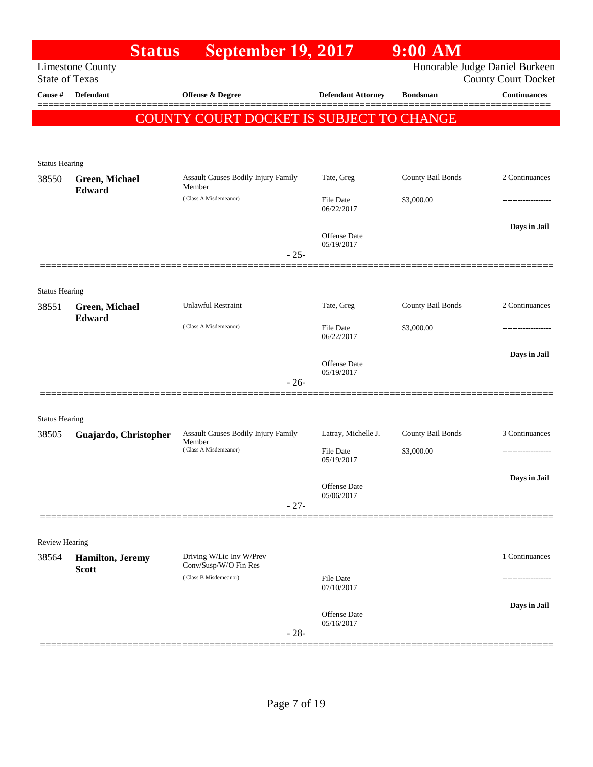|                                | <b>Status</b>            | <b>September 19, 2017</b>                      |                            | $9:00$ AM         |                                                              |
|--------------------------------|--------------------------|------------------------------------------------|----------------------------|-------------------|--------------------------------------------------------------|
| <b>State of Texas</b>          | <b>Limestone County</b>  |                                                |                            |                   | Honorable Judge Daniel Burkeen<br><b>County Court Docket</b> |
| Cause #                        | <b>Defendant</b>         | Offense & Degree                               | <b>Defendant Attorney</b>  | <b>Bondsman</b>   | <b>Continuances</b>                                          |
|                                |                          | COUNTY COURT DOCKET IS SUBJECT TO CHANGE       |                            |                   |                                                              |
|                                |                          |                                                |                            |                   |                                                              |
|                                |                          |                                                |                            |                   |                                                              |
| <b>Status Hearing</b><br>38550 | Green, Michael           | <b>Assault Causes Bodily Injury Family</b>     | Tate, Greg                 | County Bail Bonds | 2 Continuances                                               |
|                                | <b>Edward</b>            | Member<br>(Class A Misdemeanor)                | File Date                  | \$3,000.00        |                                                              |
|                                |                          |                                                | 06/22/2017                 |                   |                                                              |
|                                |                          |                                                | Offense Date<br>05/19/2017 |                   | Days in Jail                                                 |
|                                |                          | $-25-$                                         |                            |                   |                                                              |
|                                |                          |                                                |                            |                   |                                                              |
| <b>Status Hearing</b><br>38551 | Green, Michael           | <b>Unlawful Restraint</b>                      | Tate, Greg                 | County Bail Bonds | 2 Continuances                                               |
|                                | Edward                   | (Class A Misdemeanor)                          | File Date                  | \$3,000.00        |                                                              |
|                                |                          |                                                | 06/22/2017                 |                   |                                                              |
|                                |                          |                                                | Offense Date               |                   | Days in Jail                                                 |
|                                |                          | $-26-$                                         | 05/19/2017                 |                   |                                                              |
|                                |                          |                                                |                            |                   |                                                              |
| <b>Status Hearing</b><br>38505 | Guajardo, Christopher    | Assault Causes Bodily Injury Family            | Latray, Michelle J.        | County Bail Bonds | 3 Continuances                                               |
|                                |                          | Member<br>(Class A Misdemeanor)                | File Date                  | \$3,000.00        | --------------------                                         |
|                                |                          |                                                | 05/19/2017                 |                   |                                                              |
|                                |                          |                                                | Offense Date<br>05/06/2017 |                   | Days in Jail                                                 |
|                                |                          | $-27-$                                         |                            |                   |                                                              |
|                                |                          |                                                |                            |                   |                                                              |
| <b>Review Hearing</b><br>38564 | <b>Hamilton</b> , Jeremy | Driving W/Lic Inv W/Prev                       |                            |                   | 1 Continuances                                               |
|                                | <b>Scott</b>             | Conv/Susp/W/O Fin Res<br>(Class B Misdemeanor) | <b>File Date</b>           |                   |                                                              |
|                                |                          |                                                | 07/10/2017                 |                   |                                                              |
|                                |                          |                                                | <b>Offense</b> Date        |                   | Days in Jail                                                 |
|                                |                          | $-28-$                                         | 05/16/2017                 |                   |                                                              |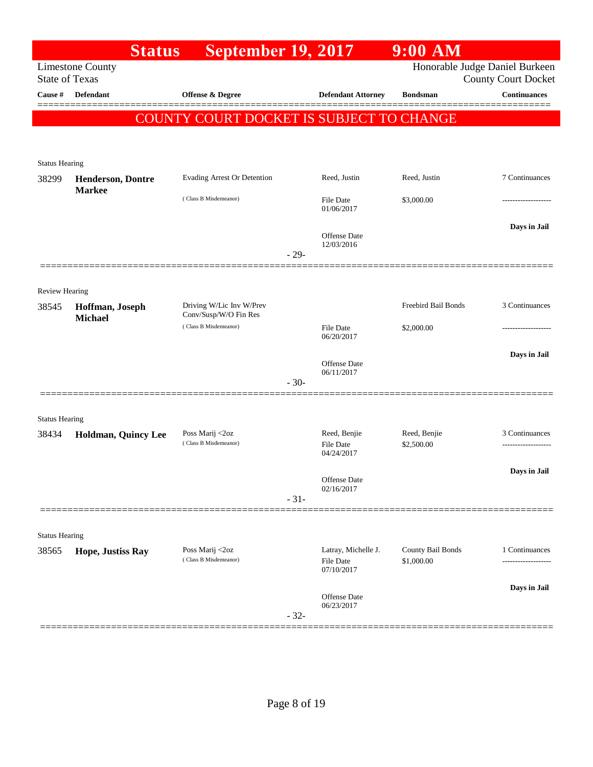|                                | <b>Status</b>            | <b>September 19, 2017</b>                         |        |                                                | $9:00$ AM                       |                                                              |
|--------------------------------|--------------------------|---------------------------------------------------|--------|------------------------------------------------|---------------------------------|--------------------------------------------------------------|
| <b>State of Texas</b>          | <b>Limestone County</b>  |                                                   |        |                                                |                                 | Honorable Judge Daniel Burkeen<br><b>County Court Docket</b> |
| Cause #                        | <b>Defendant</b>         | <b>Offense &amp; Degree</b>                       |        | <b>Defendant Attorney</b>                      | <b>Bondsman</b>                 | <b>Continuances</b>                                          |
|                                |                          | COUNTY COURT DOCKET IS SUBJECT TO CHANGE          |        |                                                |                                 |                                                              |
|                                |                          |                                                   |        |                                                |                                 |                                                              |
| <b>Status Hearing</b>          |                          |                                                   |        |                                                |                                 |                                                              |
| 38299                          | <b>Henderson, Dontre</b> | Evading Arrest Or Detention                       |        | Reed, Justin                                   | Reed, Justin                    | 7 Continuances                                               |
|                                | <b>Markee</b>            | (Class B Misdemeanor)                             |        | <b>File Date</b><br>01/06/2017                 | \$3,000.00                      |                                                              |
|                                |                          |                                                   | $-29-$ | <b>Offense Date</b><br>12/03/2016              |                                 | Days in Jail                                                 |
|                                |                          |                                                   |        |                                                |                                 |                                                              |
| <b>Review Hearing</b>          |                          |                                                   |        |                                                |                                 |                                                              |
| 38545                          | Hoffman, Joseph          | Driving W/Lic Inv W/Prev<br>Conv/Susp/W/O Fin Res |        |                                                | Freebird Bail Bonds             | 3 Continuances                                               |
|                                | <b>Michael</b>           | (Class B Misdemeanor)                             |        | <b>File Date</b>                               | \$2,000.00                      |                                                              |
|                                |                          |                                                   |        | 06/20/2017                                     |                                 | Days in Jail                                                 |
|                                |                          |                                                   |        | <b>Offense Date</b><br>06/11/2017              |                                 |                                                              |
|                                |                          |                                                   | $-30-$ |                                                |                                 |                                                              |
|                                |                          |                                                   |        |                                                |                                 |                                                              |
| <b>Status Hearing</b><br>38434 | Holdman, Quincy Lee      | Poss Marij <2oz                                   |        | Reed, Benjie                                   | Reed, Benjie                    | 3 Continuances                                               |
|                                |                          | (Class B Misdemeanor)                             |        | File Date<br>04/24/2017                        | \$2,500.00                      |                                                              |
|                                |                          |                                                   |        | Offense Date                                   |                                 | Days in Jail                                                 |
|                                |                          |                                                   | $-31-$ | 02/16/2017                                     |                                 |                                                              |
|                                |                          |                                                   |        |                                                |                                 |                                                              |
| <b>Status Hearing</b>          |                          |                                                   |        |                                                |                                 |                                                              |
| 38565                          | Hope, Justiss Ray        | Poss Marij <2oz<br>(Class B Misdemeanor)          |        | Latray, Michelle J.<br>File Date<br>07/10/2017 | County Bail Bonds<br>\$1,000.00 | 1 Continuances<br>.                                          |
|                                |                          |                                                   |        |                                                |                                 | Days in Jail                                                 |
|                                |                          |                                                   | $-32-$ | <b>Offense</b> Date<br>06/23/2017              |                                 |                                                              |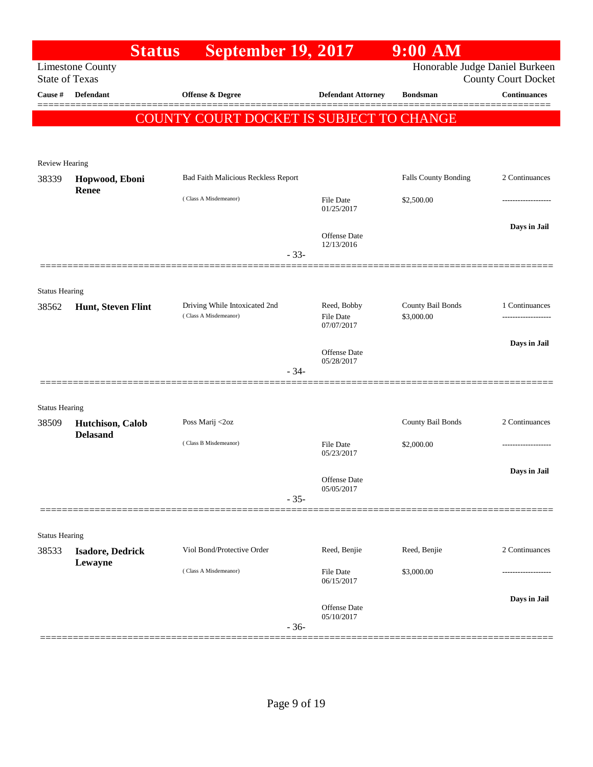|                       | <b>Status</b>           | <b>September 19, 2017</b>                              |        |                                   | $9:00$ AM                       |                            |
|-----------------------|-------------------------|--------------------------------------------------------|--------|-----------------------------------|---------------------------------|----------------------------|
| <b>State of Texas</b> | <b>Limestone County</b> |                                                        |        |                                   | Honorable Judge Daniel Burkeen  | <b>County Court Docket</b> |
| Cause #               | <b>Defendant</b>        | <b>Offense &amp; Degree</b>                            |        | <b>Defendant Attorney</b>         | <b>Bondsman</b>                 | <b>Continuances</b>        |
|                       |                         | COUNTY COURT DOCKET IS SUBJECT TO CHANGE               |        |                                   |                                 |                            |
|                       |                         |                                                        |        |                                   |                                 |                            |
|                       |                         |                                                        |        |                                   |                                 |                            |
| <b>Review Hearing</b> |                         |                                                        |        |                                   |                                 | 2 Continuances             |
| 38339                 | Hopwood, Eboni<br>Renee | Bad Faith Malicious Reckless Report                    |        |                                   | Falls County Bonding            |                            |
|                       |                         | (Class A Misdemeanor)                                  |        | File Date<br>01/25/2017           | \$2,500.00                      |                            |
|                       |                         |                                                        |        |                                   |                                 | Days in Jail               |
|                       |                         |                                                        |        | <b>Offense Date</b><br>12/13/2016 |                                 |                            |
|                       |                         |                                                        | $-33-$ |                                   |                                 |                            |
|                       |                         |                                                        |        |                                   |                                 |                            |
| <b>Status Hearing</b> |                         |                                                        |        |                                   |                                 |                            |
| 38562                 | Hunt, Steven Flint      | Driving While Intoxicated 2nd<br>(Class A Misdemeanor) |        | Reed, Bobby<br><b>File Date</b>   | County Bail Bonds<br>\$3,000.00 | 1 Continuances             |
|                       |                         |                                                        |        | 07/07/2017                        |                                 |                            |
|                       |                         |                                                        |        | Offense Date                      |                                 | Days in Jail               |
|                       |                         |                                                        | $-34-$ | 05/28/2017                        |                                 |                            |
|                       |                         |                                                        |        |                                   |                                 |                            |
| <b>Status Hearing</b> |                         |                                                        |        |                                   |                                 |                            |
| 38509                 | Hutchison, Calob        | Poss Marij <2oz                                        |        |                                   | County Bail Bonds               | 2 Continuances             |
|                       | <b>Delasand</b>         | (Class B Misdemeanor)                                  |        | <b>File Date</b>                  | \$2,000.00                      |                            |
|                       |                         |                                                        |        | 05/23/2017                        |                                 |                            |
|                       |                         |                                                        |        | Offense Date                      |                                 | Days in Jail               |
|                       |                         |                                                        | $-35-$ | 05/05/2017                        |                                 |                            |
|                       |                         |                                                        |        |                                   |                                 |                            |
| <b>Status Hearing</b> |                         |                                                        |        |                                   |                                 |                            |
| 38533                 | <b>Isadore, Dedrick</b> | Viol Bond/Protective Order                             |        | Reed, Benjie                      | Reed, Benjie                    | 2 Continuances             |
|                       | Lewayne                 | (Class A Misdemeanor)                                  |        | <b>File Date</b>                  | \$3,000.00                      |                            |
|                       |                         |                                                        |        | 06/15/2017                        |                                 |                            |
|                       |                         |                                                        |        | Offense Date                      |                                 | Days in Jail               |
|                       |                         |                                                        | $-36-$ | 05/10/2017                        |                                 |                            |
|                       |                         |                                                        |        |                                   |                                 |                            |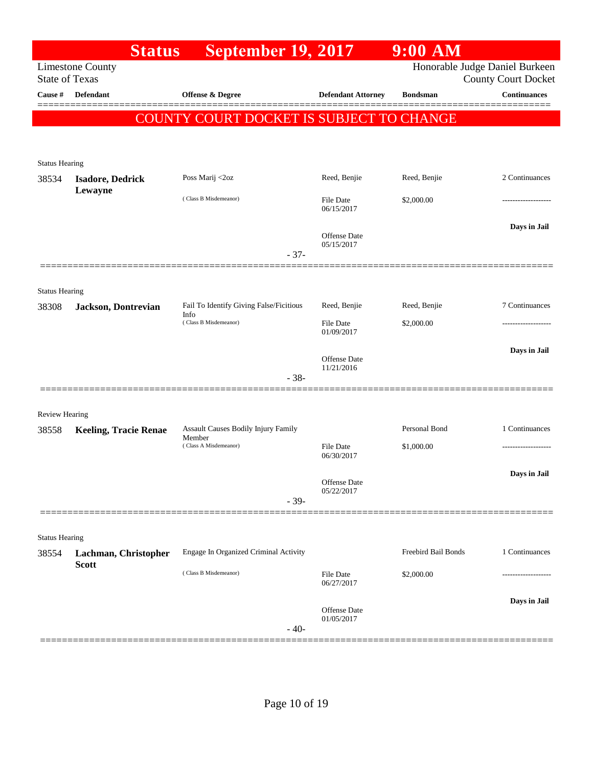|                                | <b>Status</b>                                    | <b>September 19, 2017</b>                     |                                | $9:00$ AM           |                                                              |
|--------------------------------|--------------------------------------------------|-----------------------------------------------|--------------------------------|---------------------|--------------------------------------------------------------|
|                                | <b>Limestone County</b><br><b>State of Texas</b> |                                               |                                |                     | Honorable Judge Daniel Burkeen<br><b>County Court Docket</b> |
| Cause #                        | <b>Defendant</b>                                 | <b>Offense &amp; Degree</b>                   | <b>Defendant Attorney</b>      | <b>Bondsman</b>     | <b>Continuances</b>                                          |
|                                |                                                  | COUNTY COURT DOCKET IS SUBJECT TO CHANGE      |                                |                     |                                                              |
|                                |                                                  |                                               |                                |                     |                                                              |
|                                |                                                  |                                               |                                |                     |                                                              |
| <b>Status Hearing</b>          |                                                  | Poss Marij <2oz                               | Reed, Benjie                   | Reed, Benjie        | 2 Continuances                                               |
| 38534                          | <b>Isadore, Dedrick</b><br>Lewayne               |                                               |                                |                     |                                                              |
|                                |                                                  | (Class B Misdemeanor)                         | <b>File Date</b><br>06/15/2017 | \$2,000.00          |                                                              |
|                                |                                                  |                                               |                                |                     | Days in Jail                                                 |
|                                |                                                  |                                               | Offense Date<br>05/15/2017     |                     |                                                              |
|                                |                                                  | $-37-$                                        |                                |                     |                                                              |
|                                |                                                  |                                               |                                |                     |                                                              |
| <b>Status Hearing</b><br>38308 | Jackson, Dontrevian                              | Fail To Identify Giving False/Ficitious       | Reed, Benjie                   | Reed, Benjie        | 7 Continuances                                               |
|                                |                                                  | Info<br>(Class B Misdemeanor)                 | <b>File Date</b>               | \$2,000.00          |                                                              |
|                                |                                                  |                                               | 01/09/2017                     |                     |                                                              |
|                                |                                                  |                                               | Offense Date                   |                     | Days in Jail                                                 |
|                                |                                                  | $-38-$                                        | 11/21/2016                     |                     |                                                              |
|                                |                                                  |                                               |                                |                     |                                                              |
| <b>Review Hearing</b>          |                                                  |                                               |                                |                     |                                                              |
| 38558                          | <b>Keeling, Tracie Renae</b>                     | Assault Causes Bodily Injury Family<br>Member |                                | Personal Bond       | 1 Continuances                                               |
|                                |                                                  | (Class A Misdemeanor)                         | File Date<br>06/30/2017        | \$1,000.00          | -----------------                                            |
|                                |                                                  |                                               |                                |                     | Days in Jail                                                 |
|                                |                                                  |                                               | Offense Date<br>05/22/2017     |                     |                                                              |
|                                |                                                  | $-39-$                                        |                                |                     |                                                              |
| <b>Status Hearing</b>          |                                                  |                                               |                                |                     |                                                              |
| 38554                          | Lachman, Christopher                             | Engage In Organized Criminal Activity         |                                | Freebird Bail Bonds | 1 Continuances                                               |
|                                | <b>Scott</b>                                     | (Class B Misdemeanor)                         | <b>File Date</b>               | \$2,000.00          |                                                              |
|                                |                                                  |                                               | 06/27/2017                     |                     |                                                              |
|                                |                                                  |                                               | Offense Date                   |                     | Days in Jail                                                 |
|                                |                                                  | $-40-$                                        | 01/05/2017                     |                     |                                                              |
|                                |                                                  |                                               |                                |                     |                                                              |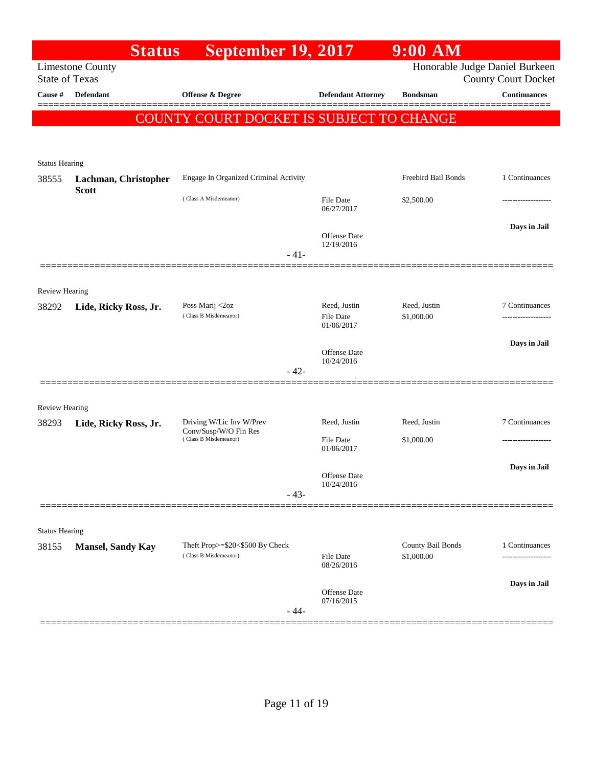|                                | <b>Status</b>            | <b>September 19, 2017</b>                                                  |                                   | $9:00$ AM           |                                                              |
|--------------------------------|--------------------------|----------------------------------------------------------------------------|-----------------------------------|---------------------|--------------------------------------------------------------|
| <b>State of Texas</b>          | <b>Limestone County</b>  |                                                                            |                                   |                     | Honorable Judge Daniel Burkeen<br><b>County Court Docket</b> |
| Cause #                        | Defendant                | <b>Offense &amp; Degree</b>                                                | <b>Defendant Attorney</b>         | <b>Bondsman</b>     | <b>Continuances</b>                                          |
|                                |                          | COUNTY COURT DOCKET IS SUBJECT TO CHANGE                                   |                                   |                     |                                                              |
|                                |                          |                                                                            |                                   |                     |                                                              |
| <b>Status Hearing</b>          |                          |                                                                            |                                   |                     |                                                              |
| 38555                          | Lachman, Christopher     | Engage In Organized Criminal Activity                                      |                                   | Freebird Bail Bonds | 1 Continuances                                               |
|                                | <b>Scott</b>             | (Class A Misdemeanor)                                                      | <b>File Date</b>                  | \$2,500.00          |                                                              |
|                                |                          |                                                                            | 06/27/2017                        |                     |                                                              |
|                                |                          |                                                                            | Offense Date                      |                     | Days in Jail                                                 |
|                                |                          | $-41-$                                                                     | 12/19/2016                        |                     |                                                              |
|                                |                          |                                                                            |                                   |                     |                                                              |
| <b>Review Hearing</b>          |                          |                                                                            |                                   |                     |                                                              |
| 38292                          | Lide, Ricky Ross, Jr.    | Poss Marij <2oz                                                            | Reed, Justin                      | Reed, Justin        | 7 Continuances                                               |
|                                |                          | (Class B Misdemeanor)                                                      | <b>File Date</b><br>01/06/2017    | \$1,000.00          |                                                              |
|                                |                          |                                                                            |                                   |                     | Days in Jail                                                 |
|                                |                          |                                                                            | <b>Offense Date</b><br>10/24/2016 |                     |                                                              |
|                                |                          | $-42-$                                                                     |                                   |                     |                                                              |
|                                |                          |                                                                            |                                   |                     |                                                              |
| <b>Review Hearing</b>          |                          |                                                                            |                                   |                     |                                                              |
| 38293                          | Lide, Ricky Ross, Jr.    | Driving W/Lic Inv W/Prev<br>Conv/Susp/W/O Fin Res<br>(Class B Misdemeanor) | Reed, Justin                      | Reed, Justin        | 7 Continuances                                               |
|                                |                          |                                                                            | <b>File Date</b><br>01/06/2017    | \$1,000.00          |                                                              |
|                                |                          |                                                                            |                                   |                     | Days in Jail                                                 |
|                                |                          |                                                                            | Offense Date<br>10/24/2016        |                     |                                                              |
|                                |                          | $-43-$                                                                     |                                   |                     |                                                              |
|                                |                          |                                                                            |                                   |                     |                                                              |
| <b>Status Hearing</b><br>38155 | <b>Mansel, Sandy Kay</b> | Theft Prop>=\$20<\$500 By Check                                            |                                   | County Bail Bonds   | 1 Continuances                                               |
|                                |                          | (Class B Misdemeanor)                                                      | File Date<br>08/26/2016           | \$1,000.00          | .                                                            |
|                                |                          |                                                                            |                                   |                     | Days in Jail                                                 |
|                                |                          |                                                                            | Offense Date<br>07/16/2015        |                     |                                                              |
|                                |                          | $-44-$                                                                     |                                   |                     |                                                              |
|                                |                          |                                                                            |                                   |                     |                                                              |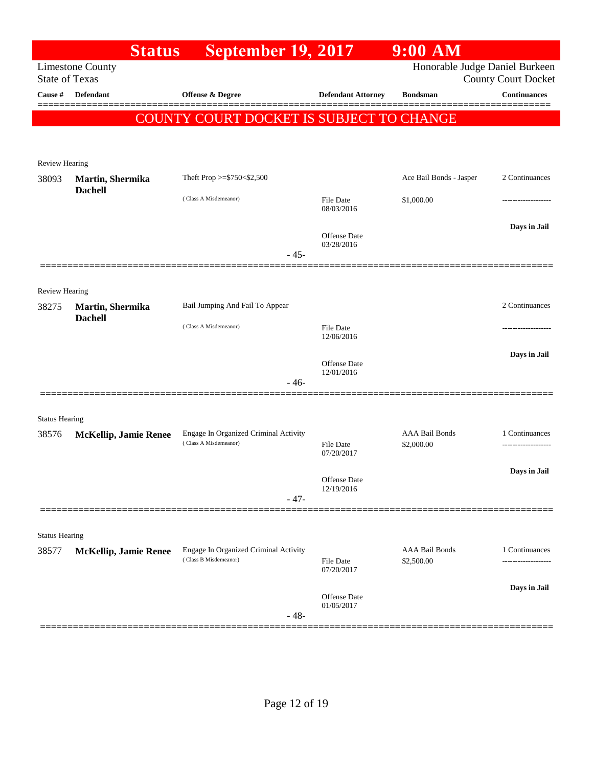|                                | <b>Status</b>                      | September 19, 2017                       |                                   | 9:00 AM                        |                            |
|--------------------------------|------------------------------------|------------------------------------------|-----------------------------------|--------------------------------|----------------------------|
| <b>State of Texas</b>          | <b>Limestone County</b>            |                                          |                                   | Honorable Judge Daniel Burkeen | <b>County Court Docket</b> |
| Cause #                        | <b>Defendant</b>                   | <b>Offense &amp; Degree</b>              | <b>Defendant Attorney</b>         | <b>Bondsman</b>                | <b>Continuances</b>        |
|                                |                                    |                                          |                                   |                                |                            |
|                                |                                    | COUNTY COURT DOCKET IS SUBJECT TO CHANGE |                                   |                                |                            |
|                                |                                    |                                          |                                   |                                |                            |
| <b>Review Hearing</b>          |                                    |                                          |                                   |                                |                            |
| 38093                          | Martin, Shermika<br><b>Dachell</b> | Theft Prop >=\$750<\$2,500               |                                   | Ace Bail Bonds - Jasper        | 2 Continuances             |
|                                |                                    | (Class A Misdemeanor)                    | <b>File Date</b><br>08/03/2016    | \$1,000.00                     |                            |
|                                |                                    |                                          | Offense Date                      |                                | Days in Jail               |
|                                |                                    | $-45-$                                   | 03/28/2016                        |                                |                            |
|                                |                                    |                                          |                                   |                                |                            |
| <b>Review Hearing</b>          |                                    |                                          |                                   |                                |                            |
| 38275                          | Martin, Shermika                   | Bail Jumping And Fail To Appear          |                                   |                                | 2 Continuances             |
|                                | <b>Dachell</b>                     | (Class A Misdemeanor)                    | File Date                         |                                |                            |
|                                |                                    |                                          | 12/06/2016                        |                                |                            |
|                                |                                    |                                          | <b>Offense Date</b><br>12/01/2016 |                                | Days in Jail               |
|                                |                                    | $-46-$                                   |                                   |                                |                            |
|                                |                                    |                                          |                                   |                                |                            |
| <b>Status Hearing</b><br>38576 | <b>McKellip, Jamie Renee</b>       | Engage In Organized Criminal Activity    |                                   | <b>AAA Bail Bonds</b>          | 1 Continuances             |
|                                |                                    | (Class A Misdemeanor)                    | <b>File Date</b><br>07/20/2017    | \$2,000.00                     |                            |
|                                |                                    |                                          |                                   |                                | Days in Jail               |
|                                |                                    |                                          | Offense Date<br>12/19/2016        |                                |                            |
|                                |                                    | $-47-$                                   |                                   |                                |                            |
|                                |                                    |                                          |                                   |                                |                            |
| <b>Status Hearing</b><br>38577 | <b>McKellip, Jamie Renee</b>       | Engage In Organized Criminal Activity    |                                   | <b>AAA Bail Bonds</b>          | 1 Continuances             |
|                                |                                    | (Class B Misdemeanor)                    | <b>File Date</b><br>07/20/2017    | \$2,500.00                     | .                          |
|                                |                                    |                                          |                                   |                                | Days in Jail               |
|                                |                                    | $-48-$                                   | <b>Offense Date</b><br>01/05/2017 |                                |                            |
|                                |                                    |                                          |                                   |                                |                            |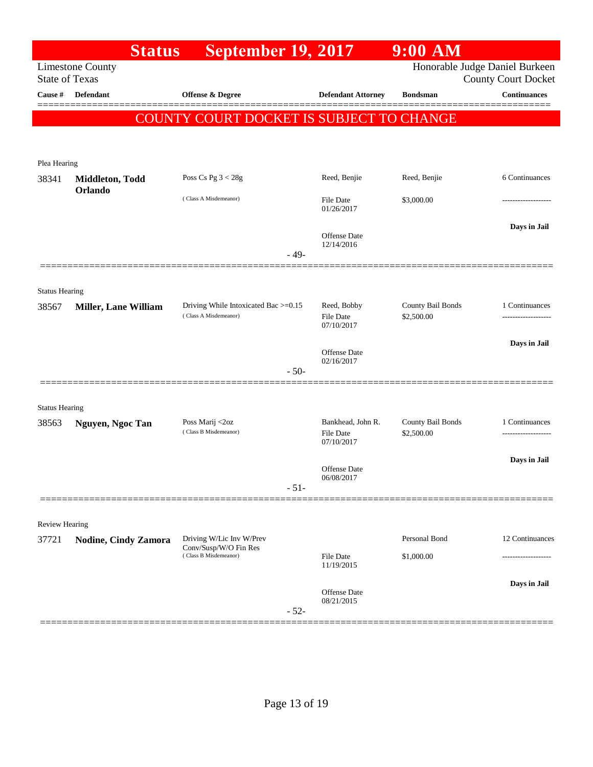|                                | <b>Status</b>               | <b>September 19, 2017</b>                                     |                                   | $9:00$ AM                       |                                                              |
|--------------------------------|-----------------------------|---------------------------------------------------------------|-----------------------------------|---------------------------------|--------------------------------------------------------------|
| <b>State of Texas</b>          | <b>Limestone County</b>     |                                                               |                                   |                                 | Honorable Judge Daniel Burkeen<br><b>County Court Docket</b> |
| Cause #                        | <b>Defendant</b>            | <b>Offense &amp; Degree</b>                                   | <b>Defendant Attorney</b>         | <b>Bondsman</b>                 | <b>Continuances</b>                                          |
|                                |                             | COUNTY COURT DOCKET IS SUBJECT TO CHANGE                      |                                   |                                 |                                                              |
|                                |                             |                                                               |                                   |                                 |                                                              |
| Plea Hearing                   |                             |                                                               |                                   |                                 |                                                              |
| 38341                          | Middleton, Todd             | Poss Cs Pg $3 < 28g$                                          | Reed, Benjie                      | Reed, Benjie                    | 6 Continuances                                               |
|                                | Orlando                     | (Class A Misdemeanor)                                         | <b>File Date</b><br>01/26/2017    | \$3,000.00                      |                                                              |
|                                |                             |                                                               | Offense Date<br>12/14/2016        |                                 | Days in Jail                                                 |
|                                |                             | $-49-$                                                        |                                   |                                 |                                                              |
| <b>Status Hearing</b>          |                             |                                                               |                                   |                                 |                                                              |
| 38567                          | <b>Miller, Lane William</b> | Driving While Intoxicated Bac >=0.15<br>(Class A Misdemeanor) | Reed, Bobby<br><b>File Date</b>   | County Bail Bonds<br>\$2,500.00 | 1 Continuances                                               |
|                                |                             |                                                               | 07/10/2017                        |                                 |                                                              |
|                                |                             |                                                               | <b>Offense Date</b><br>02/16/2017 |                                 | Days in Jail                                                 |
|                                |                             | $-50-$                                                        |                                   |                                 |                                                              |
|                                |                             |                                                               |                                   |                                 |                                                              |
| <b>Status Hearing</b><br>38563 | Nguyen, Ngoc Tan            | Poss Marij <2oz                                               | Bankhead, John R.                 | County Bail Bonds               | 1 Continuances                                               |
|                                |                             | (Class B Misdemeanor)                                         | File Date<br>07/10/2017           | \$2,500.00                      | .                                                            |
|                                |                             |                                                               | <b>Offense Date</b>               |                                 | Days in Jail                                                 |
|                                |                             | $-51-$                                                        | 06/08/2017                        |                                 |                                                              |
|                                |                             |                                                               |                                   |                                 |                                                              |
| <b>Review Hearing</b>          |                             |                                                               |                                   |                                 |                                                              |
| 37721                          | <b>Nodine, Cindy Zamora</b> | Driving W/Lic Inv W/Prev<br>Conv/Susp/W/O Fin Res             |                                   | Personal Bond                   | 12 Continuances                                              |
|                                |                             | (Class B Misdemeanor)                                         | <b>File Date</b><br>11/19/2015    | \$1,000.00                      | --------------                                               |
|                                |                             |                                                               | <b>Offense Date</b>               |                                 | Days in Jail                                                 |
|                                |                             | $-52-$                                                        | 08/21/2015                        |                                 |                                                              |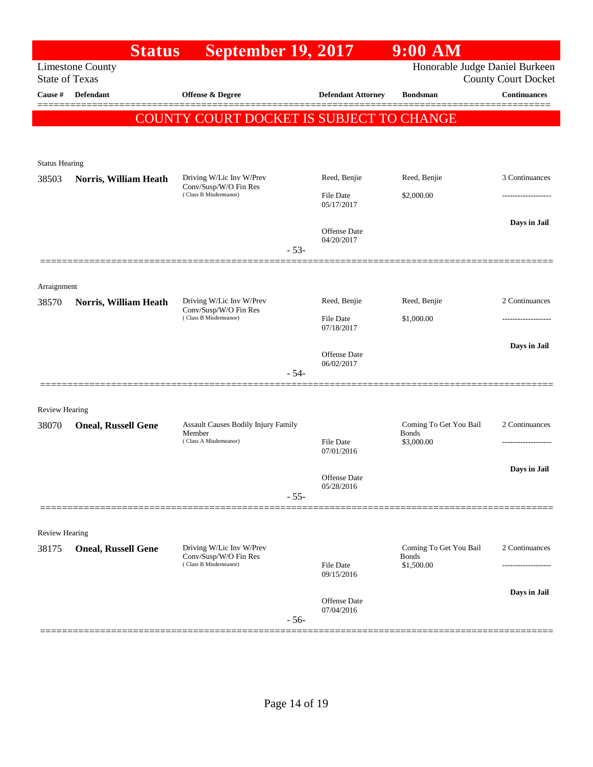|                       |                            | <b>Status</b> | <b>September 19, 2017</b>                                              |                         |                            | $9:00$ AM                              |                            |
|-----------------------|----------------------------|---------------|------------------------------------------------------------------------|-------------------------|----------------------------|----------------------------------------|----------------------------|
| <b>State of Texas</b> | <b>Limestone County</b>    |               |                                                                        |                         |                            | Honorable Judge Daniel Burkeen         | <b>County Court Docket</b> |
| Cause #               | <b>Defendant</b>           |               | <b>Offense &amp; Degree</b>                                            |                         | <b>Defendant Attorney</b>  | <b>Bondsman</b>                        | <b>Continuances</b>        |
|                       |                            |               | COUNTY COURT DOCKET IS SUBJECT TO CHANGE                               |                         |                            |                                        |                            |
|                       |                            |               |                                                                        |                         |                            |                                        |                            |
| <b>Status Hearing</b> |                            |               |                                                                        |                         |                            |                                        |                            |
| 38503                 | Norris, William Heath      |               | Driving W/Lic Inv W/Prev<br>Conv/Susp/W/O Fin Res                      |                         | Reed, Benjie               | Reed, Benjie                           | 3 Continuances             |
|                       |                            |               | (Class B Misdemeanor)                                                  | File Date<br>05/17/2017 | \$2,000.00                 | ------------------                     |                            |
|                       |                            |               |                                                                        |                         | <b>Offense Date</b>        |                                        | Days in Jail               |
|                       |                            |               |                                                                        | $-53-$                  | 04/20/2017                 |                                        |                            |
|                       |                            |               |                                                                        |                         |                            |                                        |                            |
| Arraignment           |                            |               |                                                                        |                         |                            |                                        |                            |
| 38570                 | Norris, William Heath      |               | Driving W/Lic Inv W/Prev<br>Conv/Susp/W/O Fin Res                      |                         | Reed, Benjie               | Reed, Benjie                           | 2 Continuances             |
|                       |                            |               | (Class B Misdemeanor)                                                  |                         | File Date<br>07/18/2017    | \$1,000.00                             | ------------------         |
|                       |                            |               |                                                                        |                         | <b>Offense Date</b>        |                                        | Days in Jail               |
|                       |                            |               |                                                                        | $-54-$                  | 06/02/2017                 |                                        |                            |
|                       |                            |               |                                                                        |                         |                            |                                        |                            |
| <b>Review Hearing</b> |                            |               |                                                                        |                         |                            |                                        |                            |
| 38070                 | <b>Oneal, Russell Gene</b> |               | Assault Causes Bodily Injury Family<br>Member<br>(Class A Misdemeanor) |                         |                            | Coming To Get You Bail<br><b>Bonds</b> | 2 Continuances             |
|                       |                            |               |                                                                        |                         | File Date<br>07/01/2016    | \$3,000.00                             |                            |
|                       |                            |               |                                                                        |                         | Offense Date               |                                        | Days in Jail               |
|                       |                            |               |                                                                        | $-55-$                  | 05/28/2016                 |                                        |                            |
|                       |                            |               |                                                                        |                         |                            |                                        |                            |
| <b>Review Hearing</b> |                            |               | Driving W/Lic Inv W/Prev                                               |                         |                            | Coming To Get You Bail                 | 2 Continuances             |
| 38175                 | <b>Oneal, Russell Gene</b> |               | Conv/Susp/W/O Fin Res<br>(Class B Misdemeanor)                         |                         | <b>File Date</b>           | <b>Bonds</b><br>\$1,500.00             |                            |
|                       |                            |               |                                                                        |                         | 09/15/2016                 |                                        |                            |
|                       |                            |               |                                                                        |                         | Offense Date<br>07/04/2016 |                                        | Days in Jail               |
|                       |                            |               |                                                                        | $-56-$                  |                            |                                        |                            |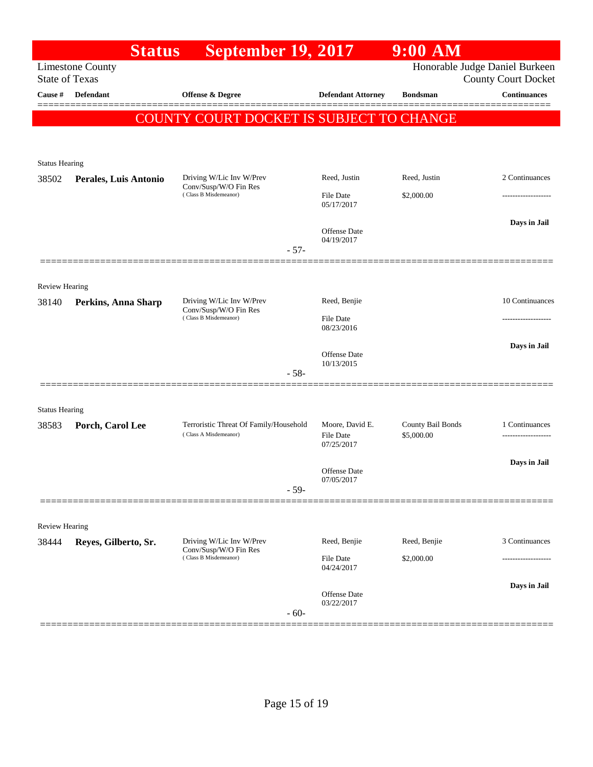|                                | <b>Status</b>           | September 19, 2017                                                         |              |                                            | $9:00$ AM                       |                                                              |
|--------------------------------|-------------------------|----------------------------------------------------------------------------|--------------|--------------------------------------------|---------------------------------|--------------------------------------------------------------|
| <b>State of Texas</b>          | <b>Limestone County</b> |                                                                            |              |                                            |                                 | Honorable Judge Daniel Burkeen<br><b>County Court Docket</b> |
| Cause #                        | <b>Defendant</b>        | Offense & Degree                                                           |              | <b>Defendant Attorney</b>                  | <b>Bondsman</b>                 | <b>Continuances</b>                                          |
|                                |                         | COUNTY COURT DOCKET IS SUBJECT TO CHANGE                                   |              |                                            |                                 |                                                              |
|                                |                         |                                                                            |              |                                            |                                 |                                                              |
| <b>Status Hearing</b>          |                         |                                                                            |              |                                            |                                 |                                                              |
| 38502                          | Perales, Luis Antonio   | Driving W/Lic Inv W/Prev                                                   |              | Reed, Justin                               | Reed, Justin                    | 2 Continuances                                               |
|                                |                         | Conv/Susp/W/O Fin Res<br>(Class B Misdemeanor)                             |              | <b>File Date</b><br>05/17/2017             | \$2,000.00                      |                                                              |
|                                |                         |                                                                            | $-57-$       | Offense Date<br>04/19/2017                 |                                 | Days in Jail                                                 |
|                                |                         |                                                                            |              |                                            |                                 |                                                              |
| <b>Review Hearing</b>          |                         |                                                                            |              |                                            |                                 |                                                              |
| 38140                          | Perkins, Anna Sharp     | Driving W/Lic Inv W/Prev<br>Conv/Susp/W/O Fin Res<br>(Class B Misdemeanor) | Reed, Benjie |                                            | 10 Continuances                 |                                                              |
|                                |                         |                                                                            |              | <b>File Date</b><br>08/23/2016             |                                 |                                                              |
|                                |                         |                                                                            |              | <b>Offense Date</b>                        |                                 | Days in Jail                                                 |
|                                |                         |                                                                            | $-58-$       | 10/13/2015                                 |                                 |                                                              |
|                                |                         |                                                                            |              |                                            |                                 |                                                              |
| <b>Status Hearing</b>          |                         |                                                                            |              |                                            |                                 |                                                              |
| 38583                          | Porch, Carol Lee        | Terroristic Threat Of Family/Household<br>(Class A Misdemeanor)            |              | Moore, David E.<br>File Date<br>07/25/2017 | County Bail Bonds<br>\$5,000.00 | 1 Continuances<br>                                           |
|                                |                         |                                                                            |              |                                            |                                 | Days in Jail                                                 |
|                                |                         |                                                                            |              | Offense Date<br>07/05/2017                 |                                 |                                                              |
|                                |                         |                                                                            | $-59-$       |                                            |                                 |                                                              |
|                                |                         |                                                                            |              |                                            |                                 |                                                              |
| <b>Review Hearing</b><br>38444 | Reyes, Gilberto, Sr.    | Driving W/Lic Inv W/Prev                                                   |              | Reed, Benjie                               | Reed, Benjie                    | 3 Continuances                                               |
|                                |                         | Conv/Susp/W/O Fin Res<br>(Class B Misdemeanor)                             |              | File Date                                  | \$2,000.00                      |                                                              |
|                                |                         |                                                                            |              | 04/24/2017                                 |                                 |                                                              |
|                                |                         |                                                                            | $-60-$       | Offense Date<br>03/22/2017                 |                                 | Days in Jail                                                 |
|                                |                         |                                                                            |              |                                            |                                 |                                                              |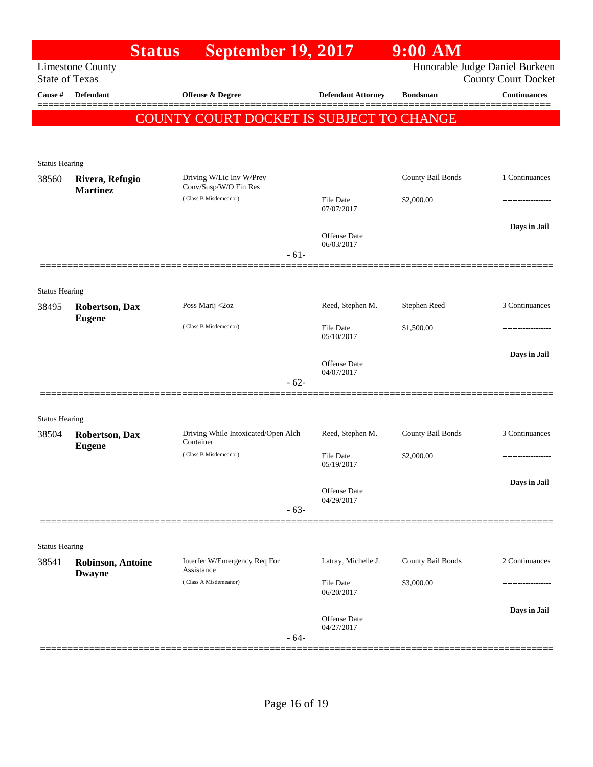| Honorable Judge Daniel Burkeen<br><b>Limestone County</b><br><b>State of Texas</b><br><b>County Court Docket</b><br><b>Continuances</b><br>Cause #<br><b>Defendant</b><br>Offense & Degree<br><b>Defendant Attorney</b><br><b>Bondsman</b><br><b>COUNTY COURT DOCKET IS SUBJECT TO CHANGE</b><br><b>Status Hearing</b><br>County Bail Bonds<br>1 Continuances<br>Driving W/Lic Inv W/Prev<br>Rivera, Refugio<br>Conv/Susp/W/O Fin Res<br><b>Martinez</b><br>(Class B Misdemeanor)<br><b>File Date</b><br>\$2,000.00<br>07/07/2017<br>Days in Jail<br><b>Offense Date</b><br>06/03/2017<br>$-61-$<br><b>Status Hearing</b><br>3 Continuances<br>Poss Marij <2oz<br>Reed, Stephen M.<br>Stephen Reed<br><b>Robertson, Dax</b><br><b>Eugene</b><br>(Class B Misdemeanor)<br><b>File Date</b><br>\$1,500.00<br>05/10/2017<br>Days in Jail<br><b>Offense Date</b><br>04/07/2017<br>$-62-$<br><b>Status Hearing</b><br>3 Continuances<br>Driving While Intoxicated/Open Alch<br>Reed, Stephen M.<br>County Bail Bonds<br>38504<br><b>Robertson, Dax</b><br>Container<br><b>Eugene</b><br>(Class B Misdemeanor)<br>\$2,000.00<br><b>File Date</b><br>05/19/2017<br>Days in Jail<br><b>Offense Date</b><br>04/29/2017<br>$-63-$<br><b>Status Hearing</b><br>2 Continuances<br>Interfer W/Emergency Req For<br>Latray, Michelle J.<br>County Bail Bonds<br><b>Robinson, Antoine</b><br>Assistance<br><b>Dwayne</b><br>(Class A Misdemeanor)<br><b>File Date</b><br>\$3,000.00<br>06/20/2017<br>Days in Jail<br><b>Offense Date</b><br>04/27/2017<br>$-64-$ |       | <b>Status</b> | <b>September 19, 2017</b> | 9:00 AM |  |
|---------------------------------------------------------------------------------------------------------------------------------------------------------------------------------------------------------------------------------------------------------------------------------------------------------------------------------------------------------------------------------------------------------------------------------------------------------------------------------------------------------------------------------------------------------------------------------------------------------------------------------------------------------------------------------------------------------------------------------------------------------------------------------------------------------------------------------------------------------------------------------------------------------------------------------------------------------------------------------------------------------------------------------------------------------------------------------------------------------------------------------------------------------------------------------------------------------------------------------------------------------------------------------------------------------------------------------------------------------------------------------------------------------------------------------------------------------------------------------------------------------------------------------------------------|-------|---------------|---------------------------|---------|--|
|                                                                                                                                                                                                                                                                                                                                                                                                                                                                                                                                                                                                                                                                                                                                                                                                                                                                                                                                                                                                                                                                                                                                                                                                                                                                                                                                                                                                                                                                                                                                                   |       |               |                           |         |  |
|                                                                                                                                                                                                                                                                                                                                                                                                                                                                                                                                                                                                                                                                                                                                                                                                                                                                                                                                                                                                                                                                                                                                                                                                                                                                                                                                                                                                                                                                                                                                                   |       |               |                           |         |  |
|                                                                                                                                                                                                                                                                                                                                                                                                                                                                                                                                                                                                                                                                                                                                                                                                                                                                                                                                                                                                                                                                                                                                                                                                                                                                                                                                                                                                                                                                                                                                                   |       |               |                           |         |  |
|                                                                                                                                                                                                                                                                                                                                                                                                                                                                                                                                                                                                                                                                                                                                                                                                                                                                                                                                                                                                                                                                                                                                                                                                                                                                                                                                                                                                                                                                                                                                                   |       |               |                           |         |  |
|                                                                                                                                                                                                                                                                                                                                                                                                                                                                                                                                                                                                                                                                                                                                                                                                                                                                                                                                                                                                                                                                                                                                                                                                                                                                                                                                                                                                                                                                                                                                                   |       |               |                           |         |  |
|                                                                                                                                                                                                                                                                                                                                                                                                                                                                                                                                                                                                                                                                                                                                                                                                                                                                                                                                                                                                                                                                                                                                                                                                                                                                                                                                                                                                                                                                                                                                                   |       |               |                           |         |  |
|                                                                                                                                                                                                                                                                                                                                                                                                                                                                                                                                                                                                                                                                                                                                                                                                                                                                                                                                                                                                                                                                                                                                                                                                                                                                                                                                                                                                                                                                                                                                                   | 38560 |               |                           |         |  |
|                                                                                                                                                                                                                                                                                                                                                                                                                                                                                                                                                                                                                                                                                                                                                                                                                                                                                                                                                                                                                                                                                                                                                                                                                                                                                                                                                                                                                                                                                                                                                   |       |               |                           |         |  |
|                                                                                                                                                                                                                                                                                                                                                                                                                                                                                                                                                                                                                                                                                                                                                                                                                                                                                                                                                                                                                                                                                                                                                                                                                                                                                                                                                                                                                                                                                                                                                   |       |               |                           |         |  |
|                                                                                                                                                                                                                                                                                                                                                                                                                                                                                                                                                                                                                                                                                                                                                                                                                                                                                                                                                                                                                                                                                                                                                                                                                                                                                                                                                                                                                                                                                                                                                   |       |               |                           |         |  |
|                                                                                                                                                                                                                                                                                                                                                                                                                                                                                                                                                                                                                                                                                                                                                                                                                                                                                                                                                                                                                                                                                                                                                                                                                                                                                                                                                                                                                                                                                                                                                   |       |               |                           |         |  |
|                                                                                                                                                                                                                                                                                                                                                                                                                                                                                                                                                                                                                                                                                                                                                                                                                                                                                                                                                                                                                                                                                                                                                                                                                                                                                                                                                                                                                                                                                                                                                   |       |               |                           |         |  |
|                                                                                                                                                                                                                                                                                                                                                                                                                                                                                                                                                                                                                                                                                                                                                                                                                                                                                                                                                                                                                                                                                                                                                                                                                                                                                                                                                                                                                                                                                                                                                   | 38495 |               |                           |         |  |
|                                                                                                                                                                                                                                                                                                                                                                                                                                                                                                                                                                                                                                                                                                                                                                                                                                                                                                                                                                                                                                                                                                                                                                                                                                                                                                                                                                                                                                                                                                                                                   |       |               |                           |         |  |
|                                                                                                                                                                                                                                                                                                                                                                                                                                                                                                                                                                                                                                                                                                                                                                                                                                                                                                                                                                                                                                                                                                                                                                                                                                                                                                                                                                                                                                                                                                                                                   |       |               |                           |         |  |
|                                                                                                                                                                                                                                                                                                                                                                                                                                                                                                                                                                                                                                                                                                                                                                                                                                                                                                                                                                                                                                                                                                                                                                                                                                                                                                                                                                                                                                                                                                                                                   |       |               |                           |         |  |
|                                                                                                                                                                                                                                                                                                                                                                                                                                                                                                                                                                                                                                                                                                                                                                                                                                                                                                                                                                                                                                                                                                                                                                                                                                                                                                                                                                                                                                                                                                                                                   |       |               |                           |         |  |
|                                                                                                                                                                                                                                                                                                                                                                                                                                                                                                                                                                                                                                                                                                                                                                                                                                                                                                                                                                                                                                                                                                                                                                                                                                                                                                                                                                                                                                                                                                                                                   |       |               |                           |         |  |
|                                                                                                                                                                                                                                                                                                                                                                                                                                                                                                                                                                                                                                                                                                                                                                                                                                                                                                                                                                                                                                                                                                                                                                                                                                                                                                                                                                                                                                                                                                                                                   |       |               |                           |         |  |
|                                                                                                                                                                                                                                                                                                                                                                                                                                                                                                                                                                                                                                                                                                                                                                                                                                                                                                                                                                                                                                                                                                                                                                                                                                                                                                                                                                                                                                                                                                                                                   |       |               |                           |         |  |
|                                                                                                                                                                                                                                                                                                                                                                                                                                                                                                                                                                                                                                                                                                                                                                                                                                                                                                                                                                                                                                                                                                                                                                                                                                                                                                                                                                                                                                                                                                                                                   |       |               |                           |         |  |
|                                                                                                                                                                                                                                                                                                                                                                                                                                                                                                                                                                                                                                                                                                                                                                                                                                                                                                                                                                                                                                                                                                                                                                                                                                                                                                                                                                                                                                                                                                                                                   |       |               |                           |         |  |
|                                                                                                                                                                                                                                                                                                                                                                                                                                                                                                                                                                                                                                                                                                                                                                                                                                                                                                                                                                                                                                                                                                                                                                                                                                                                                                                                                                                                                                                                                                                                                   |       |               |                           |         |  |
|                                                                                                                                                                                                                                                                                                                                                                                                                                                                                                                                                                                                                                                                                                                                                                                                                                                                                                                                                                                                                                                                                                                                                                                                                                                                                                                                                                                                                                                                                                                                                   |       |               |                           |         |  |
|                                                                                                                                                                                                                                                                                                                                                                                                                                                                                                                                                                                                                                                                                                                                                                                                                                                                                                                                                                                                                                                                                                                                                                                                                                                                                                                                                                                                                                                                                                                                                   |       |               |                           |         |  |
|                                                                                                                                                                                                                                                                                                                                                                                                                                                                                                                                                                                                                                                                                                                                                                                                                                                                                                                                                                                                                                                                                                                                                                                                                                                                                                                                                                                                                                                                                                                                                   |       |               |                           |         |  |
|                                                                                                                                                                                                                                                                                                                                                                                                                                                                                                                                                                                                                                                                                                                                                                                                                                                                                                                                                                                                                                                                                                                                                                                                                                                                                                                                                                                                                                                                                                                                                   | 38541 |               |                           |         |  |
|                                                                                                                                                                                                                                                                                                                                                                                                                                                                                                                                                                                                                                                                                                                                                                                                                                                                                                                                                                                                                                                                                                                                                                                                                                                                                                                                                                                                                                                                                                                                                   |       |               |                           |         |  |
|                                                                                                                                                                                                                                                                                                                                                                                                                                                                                                                                                                                                                                                                                                                                                                                                                                                                                                                                                                                                                                                                                                                                                                                                                                                                                                                                                                                                                                                                                                                                                   |       |               |                           |         |  |
|                                                                                                                                                                                                                                                                                                                                                                                                                                                                                                                                                                                                                                                                                                                                                                                                                                                                                                                                                                                                                                                                                                                                                                                                                                                                                                                                                                                                                                                                                                                                                   |       |               |                           |         |  |
|                                                                                                                                                                                                                                                                                                                                                                                                                                                                                                                                                                                                                                                                                                                                                                                                                                                                                                                                                                                                                                                                                                                                                                                                                                                                                                                                                                                                                                                                                                                                                   |       |               |                           |         |  |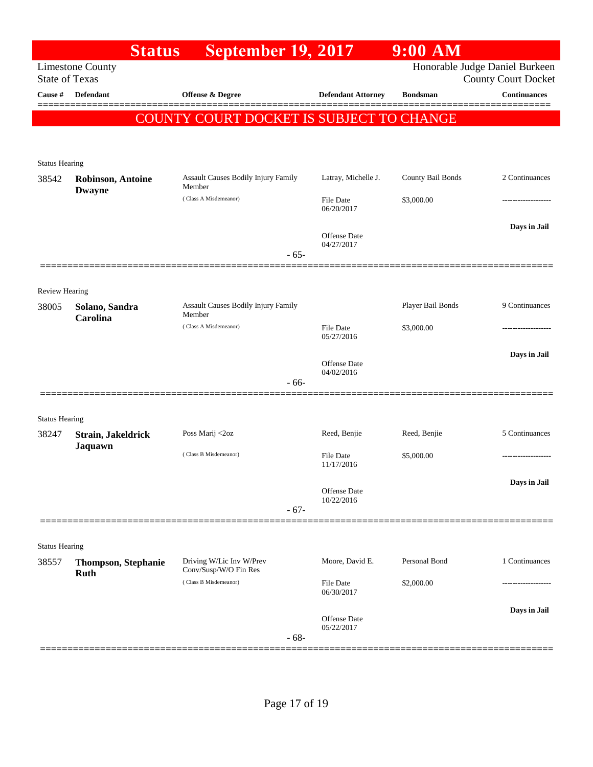|                       | <b>Status</b>                             | <b>September 19, 2017</b>                            |                                   | $9:00$ AM         |                                                   |
|-----------------------|-------------------------------------------|------------------------------------------------------|-----------------------------------|-------------------|---------------------------------------------------|
| <b>State of Texas</b> | <b>Limestone County</b>                   |                                                      |                                   |                   | Honorable Judge Daniel Burkeen                    |
| Cause #               | Defendant                                 | Offense & Degree                                     | <b>Defendant Attorney</b>         | <b>Bondsman</b>   | <b>County Court Docket</b><br><b>Continuances</b> |
|                       |                                           |                                                      |                                   |                   | =====                                             |
|                       |                                           | COUNTY COURT DOCKET IS SUBJECT TO CHANGE             |                                   |                   |                                                   |
| <b>Status Hearing</b> |                                           |                                                      |                                   |                   |                                                   |
| 38542                 | <b>Robinson, Antoine</b><br><b>Dwayne</b> | <b>Assault Causes Bodily Injury Family</b><br>Member | Latray, Michelle J.               | County Bail Bonds | 2 Continuances                                    |
|                       |                                           | (Class A Misdemeanor)                                | File Date<br>06/20/2017           | \$3,000.00        |                                                   |
|                       |                                           |                                                      | Offense Date<br>04/27/2017        |                   | Days in Jail                                      |
|                       |                                           | $-65-$                                               |                                   |                   |                                                   |
| <b>Review Hearing</b> |                                           |                                                      |                                   |                   |                                                   |
| 38005                 | Solano, Sandra<br>Carolina                | <b>Assault Causes Bodily Injury Family</b><br>Member |                                   | Player Bail Bonds | 9 Continuances                                    |
|                       |                                           | (Class A Misdemeanor)                                | File Date<br>05/27/2016           | \$3,000.00        |                                                   |
|                       |                                           |                                                      | Offense Date<br>04/02/2016        |                   | Days in Jail                                      |
|                       |                                           | $-66-$                                               |                                   |                   |                                                   |
| <b>Status Hearing</b> |                                           |                                                      |                                   |                   |                                                   |
| 38247                 | Strain, Jakeldrick<br>Jaquawn             | Poss Marij <2oz                                      | Reed, Benjie                      | Reed, Benjie      | 5 Continuances                                    |
|                       |                                           | (Class B Misdemeanor)                                | <b>File Date</b><br>11/17/2016    | \$5,000.00        |                                                   |
|                       |                                           |                                                      | Offense Date<br>10/22/2016        |                   | Days in Jail                                      |
|                       |                                           | $-67-$                                               |                                   |                   |                                                   |
| <b>Status Hearing</b> |                                           |                                                      |                                   |                   |                                                   |
| 38557                 | <b>Thompson, Stephanie</b><br><b>Ruth</b> | Driving W/Lic Inv W/Prev<br>Conv/Susp/W/O Fin Res    | Moore, David E.                   | Personal Bond     | 1 Continuances                                    |
|                       |                                           | (Class B Misdemeanor)                                | <b>File Date</b><br>06/30/2017    | \$2,000.00        | .                                                 |
|                       |                                           |                                                      | <b>Offense Date</b><br>05/22/2017 |                   | Days in Jail                                      |
|                       |                                           | $-68-$                                               |                                   |                   |                                                   |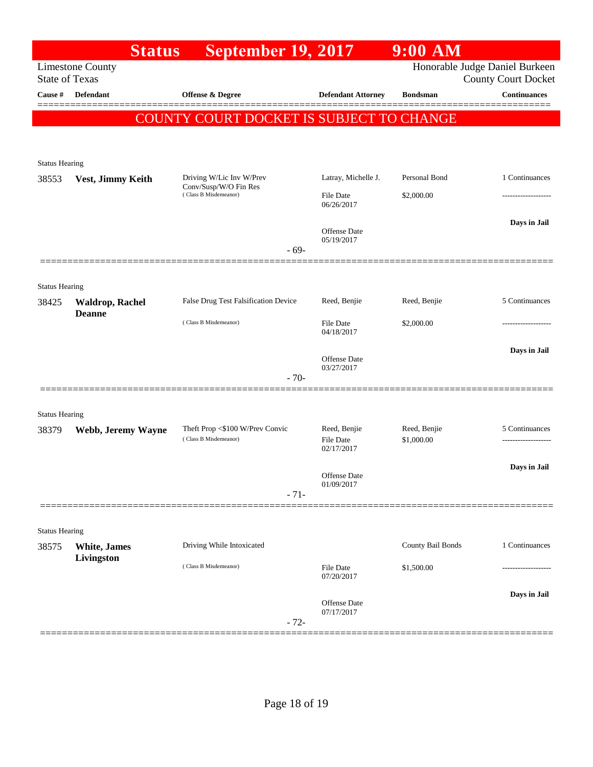|                                | <b>Status</b>                           | <b>September 19, 2017</b>                                                  |                                         | 9:00 AM                    |                                                              |
|--------------------------------|-----------------------------------------|----------------------------------------------------------------------------|-----------------------------------------|----------------------------|--------------------------------------------------------------|
| <b>State of Texas</b>          | <b>Limestone County</b>                 |                                                                            |                                         |                            | Honorable Judge Daniel Burkeen<br><b>County Court Docket</b> |
| Cause #                        | <b>Defendant</b>                        | <b>Offense &amp; Degree</b>                                                | <b>Defendant Attorney</b>               | <b>Bondsman</b>            | <b>Continuances</b><br>=====                                 |
|                                |                                         | COUNTY COURT DOCKET IS SUBJECT TO CHANGE                                   |                                         |                            |                                                              |
| <b>Status Hearing</b>          |                                         |                                                                            |                                         |                            |                                                              |
| 38553                          | Vest, Jimmy Keith                       | Driving W/Lic Inv W/Prev<br>Conv/Susp/W/O Fin Res<br>(Class B Misdemeanor) | Latray, Michelle J.                     | Personal Bond              | 1 Continuances                                               |
|                                |                                         |                                                                            | <b>File Date</b><br>06/26/2017          | \$2,000.00                 |                                                              |
|                                |                                         | $-69-$                                                                     | Offense Date<br>05/19/2017              |                            | Days in Jail                                                 |
|                                |                                         |                                                                            |                                         |                            |                                                              |
| <b>Status Hearing</b><br>38425 | <b>Waldrop, Rachel</b><br><b>Deanne</b> | False Drug Test Falsification Device                                       | Reed, Benjie                            | Reed, Benjie               | 5 Continuances                                               |
|                                |                                         | (Class B Misdemeanor)                                                      | <b>File Date</b><br>04/18/2017          | \$2,000.00                 |                                                              |
|                                |                                         | $-70-$                                                                     | Offense Date<br>03/27/2017              |                            | Days in Jail                                                 |
|                                |                                         |                                                                            |                                         |                            |                                                              |
| <b>Status Hearing</b>          |                                         |                                                                            |                                         |                            |                                                              |
| 38379                          | Webb, Jeremy Wayne                      | Theft Prop <\$100 W/Prev Convic<br>(Class B Misdemeanor)                   | Reed, Benjie<br>File Date<br>02/17/2017 | Reed, Benjie<br>\$1,000.00 | 5 Continuances<br>                                           |
|                                |                                         |                                                                            | Offense Date<br>01/09/2017              |                            | Days in Jail                                                 |
|                                |                                         | $-71-$                                                                     |                                         |                            |                                                              |
| <b>Status Hearing</b>          |                                         |                                                                            |                                         |                            |                                                              |
| 38575                          | <b>White</b> , James<br>Livingston      | Driving While Intoxicated                                                  |                                         | County Bail Bonds          | 1 Continuances                                               |
|                                |                                         | (Class B Misdemeanor)                                                      | File Date<br>07/20/2017                 | \$1,500.00                 |                                                              |
|                                |                                         | $-72-$                                                                     | Offense Date<br>07/17/2017              |                            | Days in Jail                                                 |